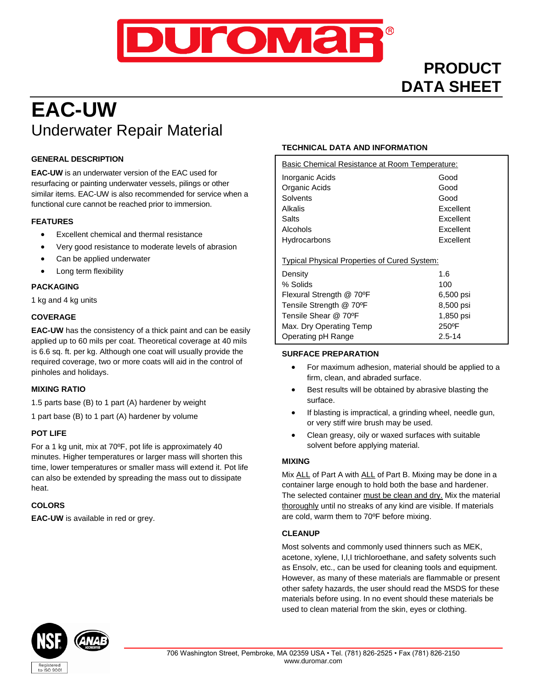

# **PRODUCT DATA SHEET**

# **EAC-UW** Underwater Repair Material

# **GENERAL DESCRIPTION**

**EAC-UW** is an underwater version of the EAC used for resurfacing or painting underwater vessels, pilings or other similar items. EAC-UW is also recommended for service when a functional cure cannot be reached prior to immersion.

# **FEATURES**

- Excellent chemical and thermal resistance
- Very good resistance to moderate levels of abrasion
- Can be applied underwater
- Long term flexibility

# **PACKAGING**

1 kg and 4 kg units

# **COVERAGE**

**EAC-UW** has the consistency of a thick paint and can be easily applied up to 60 mils per coat. Theoretical coverage at 40 mils is 6.6 sq. ft. per kg. Although one coat will usually provide the required coverage, two or more coats will aid in the control of pinholes and holidays.

# **MIXING RATIO**

1.5 parts base (B) to 1 part (A) hardener by weight

1 part base (B) to 1 part (A) hardener by volume

#### **POT LIFE**

For a 1 kg unit, mix at 70ºF, pot life is approximately 40 minutes. Higher temperatures or larger mass will shorten this time, lower temperatures or smaller mass will extend it. Pot life can also be extended by spreading the mass out to dissipate heat.

#### **COLORS**

**EAC-UW** is available in red or grey.

# **TECHNICAL DATA AND INFORMATION**

| Basic Chemical Resistance at Room Temperature:      |            |  |
|-----------------------------------------------------|------------|--|
| Inorganic Acids                                     | Good       |  |
| Organic Acids                                       | Good       |  |
| Solvents                                            | Good       |  |
| Alkalis                                             | Excellent  |  |
| Salts                                               | Excellent  |  |
| Alcohols                                            | Excellent  |  |
| Hydrocarbons                                        | Excellent  |  |
|                                                     |            |  |
| <b>Typical Physical Properties of Cured System:</b> |            |  |
| Density                                             | 1.6        |  |
| % Solids                                            | 100        |  |
| Flexural Strength @ 70°F                            | 6,500 psi  |  |
| Tensile Strength @ 70°F                             | 8,500 psi  |  |
| Tensile Shear @ 70°F                                | 1,850 psi  |  |
| Max. Dry Operating Temp                             | 250°F      |  |
| Operating pH Range                                  | $2.5 - 14$ |  |

#### **SURFACE PREPARATION**

- For maximum adhesion, material should be applied to a firm, clean, and abraded surface.
- Best results will be obtained by abrasive blasting the surface.
- If blasting is impractical, a grinding wheel, needle gun, or very stiff wire brush may be used.
- Clean greasy, oily or waxed surfaces with suitable solvent before applying material.

#### **MIXING**

Mix ALL of Part A with ALL of Part B. Mixing may be done in a container large enough to hold both the base and hardener. The selected container must be clean and dry. Mix the material thoroughly until no streaks of any kind are visible. If materials are cold, warm them to 70ºF before mixing.

#### **CLEANUP**

Most solvents and commonly used thinners such as MEK, acetone, xylene, I,I,I trichloroethane, and safety solvents such as Ensolv, etc., can be used for cleaning tools and equipment. However, as many of these materials are flammable or present other safety hazards, the user should read the MSDS for these materials before using. In no event should these materials be used to clean material from the skin, eyes or clothing.